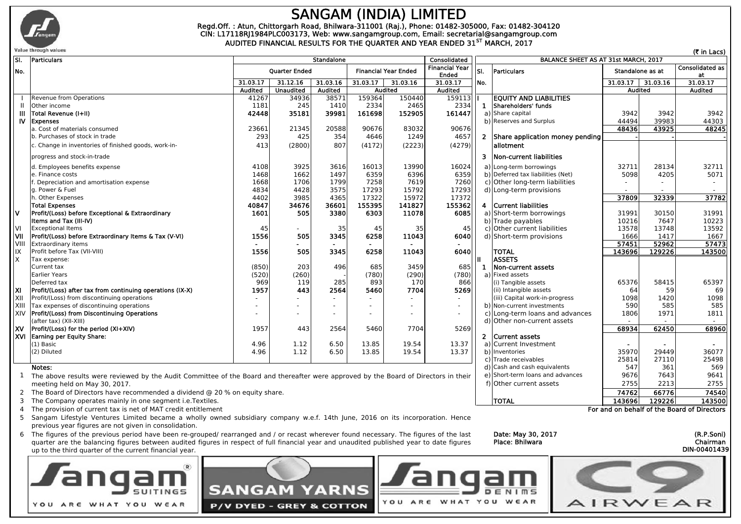

### **SANGAM (INDIA) LIMITED CIN: L17118RJ1984PLC003173, Web: www.sangamgroup.com, Email: secretarial@sangamgroup.com Regd.Off. : Atun, Chittorgarh Road, Bhilwara-311001 (Raj.), Phone: 01482-305000, Fax: 01482-304120**

**AUDITED FINANCIAL RESULTS FOR THE QUARTER AND YEAR ENDED 31ST MARCH, 2017**

|            | Value through values                                      |                      |                  |                             |          |                                |              |                                      |                                   |                |                              | (₹ in Lacs)    |
|------------|-----------------------------------------------------------|----------------------|------------------|-----------------------------|----------|--------------------------------|--------------|--------------------------------------|-----------------------------------|----------------|------------------------------|----------------|
| SI.        | Particulars                                               | <b>Standalone</b>    |                  |                             |          |                                | Consolidated | BALANCE SHEET AS AT 31st MARCH, 2017 |                                   |                |                              |                |
| INo.       |                                                           | <b>Ouarter Ended</b> |                  | <b>Financial Year Ended</b> |          | <b>Financial Year</b><br>Ended | lsı.         | Particulars                          | Standalone as at                  |                | <b>Consolidated as</b><br>at |                |
|            |                                                           | 31.03.17             | 31.12.16         | 31.03.16                    | 31.03.17 | 31.03.16                       | 31.03.17     | No.                                  |                                   | 31.03.17       | 31.03.16                     | 31.03.17       |
|            |                                                           | Audited              | <b>Unaudited</b> | <b>Audited</b>              |          | <b>Audited</b>                 | Audited      |                                      |                                   | <b>Audited</b> |                              | <b>Audited</b> |
|            | Revenue from Operations                                   | 41267                | 34936            | 38571                       | 159364   | 150440                         | 159113       |                                      | <b>EQUITY AND LIABILITIES</b>     |                |                              |                |
|            | Other income                                              | 1181                 | 245              | 1410                        | 2334     | 2465                           | 2334         | 1                                    | Shareholders' funds               |                |                              |                |
| Ш          | Total Revenue (I+II)                                      | 42448                | 35181            | 39981                       | 161698   | 152905                         | 161447       |                                      | a) Share capital                  | 3942           | 3942                         | 3942           |
| IV.        | <b>Expenses</b>                                           |                      |                  |                             |          |                                |              |                                      | b) Reserves and Surplus           | 44494          | 39983                        | 44303          |
|            | a. Cost of materials consumed                             | 23661                | 21345            | 20588                       | 90676    | 83032                          | 90676        |                                      |                                   | 48436          | 43925                        | 48245          |
|            | b. Purchases of stock in trade                            | 293                  | 425              | 354                         | 4646     | 1249                           | 4657         | $\overline{2}$                       | Share application money pending   |                |                              |                |
|            | c. Change in inventories of finished goods, work-in-      | 413                  | (2800)           | 807                         | (4172)   | (2223)                         | (4279)       |                                      | lallotment                        |                |                              |                |
|            | progress and stock-in-trade                               |                      |                  |                             |          |                                |              | 3                                    | Non-current liabilities           |                |                              |                |
|            | d. Employees benefits expense                             | 4108                 | 3925             | 3616                        | 16013    | 13990                          | 16024        |                                      | a) Long-term borrowings           | 32711          | 28134                        | 32711          |
|            | e. Finance costs                                          | 1468                 | 1662             | 1497                        | 6359     | 6396                           | 6359         |                                      | b) Deferred tax liabilities (Net) | 5098           | 4205                         | 5071           |
|            | . Depreciation and amortisation expense                   | 1668                 | 1706             | 1799                        | 7258     | 7619                           | 7260         |                                      | c) Other long-term liabilities    |                |                              |                |
|            | a. Power & Fuel                                           | 4834                 | 4428             | 3575                        | 17293    | 15792                          | 17293        |                                      | d) Long-term provisions           |                |                              |                |
|            | h. Other Expenses                                         | 4402                 | 3985             | 4365                        | 17322    | 15972                          | 17372        |                                      |                                   | 37809          | 32339                        | 37782          |
|            | <b>Total Expenses</b>                                     | 40847                | 34676            | 36601                       | 155395   | 141827                         | 155362       | 4                                    | Current liabilities               |                |                              |                |
| ١v         | Profit/(Loss) before Exceptional & Extraordinary          | 1601                 | 505              | 3380                        | 6303     | 11078                          | 6085         |                                      | a) Short-term borrowings          | 31991          | 30150                        | 31991          |
|            | Items and Tax (III-IV)                                    |                      |                  |                             |          |                                |              |                                      | b) Trade payables                 | 10216          | 7647                         | 10223          |
| ΙVΙ        | <b>Exceptional Items</b>                                  | 45                   |                  | 35                          | 45       | 35                             | 45           |                                      | c) Other current liabilities      | 13578          | 13748                        | 13592          |
| <b>VII</b> | Profit/(Loss) before Extraordinary Items & Tax (V-VI)     | 1556                 | 505              | 3345                        | 6258     | 11043                          | 6040         |                                      | d) Short-term provisions          | 1666           | 1417                         | 1667           |
| VIII       | <b>Extraordinary items</b>                                |                      |                  |                             | $\sim$   |                                |              |                                      |                                   | 57451          | 52962                        | 57473          |
| lıx<br>lχ  | Profit before Tax (VII-VIII)<br>Tax expense:              | 1556                 | 505              | 3345                        | 6258     | 11043                          | 6040         |                                      | <b>TOTAL</b><br><b>ASSETS</b>     | 143696         | 129226                       | 143500         |
|            | Current tax                                               | (850)                | 203              | 496                         | 685      | 3459                           | 685          | -1                                   | Non-current assets                |                |                              |                |
|            | <b>Earlier Years</b>                                      | (520)                | (260)            |                             | (780)    | (290)                          | (780)        |                                      | a) Fixed assets                   |                |                              |                |
|            | Deferred tax                                              | 969                  | 119              | 285                         | 893      | 170                            | 866          |                                      | (i) Tangible assets               | 65376          | 58415                        | 65397          |
| ΙXΙ        | Profit/(Loss) after tax from continuing operations (IX-X) | 1957                 | 443              | 2564                        | 5460     | 7704                           | 5269         |                                      | (ii) Intangible assets            | 64             | 59                           | 69             |
| XII        | Profit/(Loss) from discontinuing operations               |                      |                  |                             |          |                                |              |                                      | (iii) Capital work-in-progress    | 1098           | 1420                         | 1098           |
| XIII       | Tax expenses of discontinuing operations                  |                      |                  |                             |          |                                |              |                                      | b) Non-current investments        | 590            | 585                          | 585            |
| XIV        | Profit/(Loss) from Discontinuing Operations               |                      |                  | ٠                           |          |                                | $\sim$       |                                      | c) Long-term loans and advances   | 1806           | 1971                         | 1811           |
|            | (after tax) (XII-XIII)                                    |                      |                  |                             |          |                                |              |                                      | d) Other non-current assets       | $\sim$         |                              |                |
| lxv        | Profit/(Loss) for the period (XI+XIV)                     | 1957                 | 443              | 2564                        | 5460     | 7704                           | 5269         |                                      |                                   | 68934          | 62450                        | 68960          |
| lxvi       | Earning per Equity Share:                                 |                      |                  |                             |          |                                |              | $\mathbf{2}$                         | Current assets                    |                |                              |                |
|            | $(1)$ Basic                                               | 4.96                 | 1.12             | 6.50                        | 13.85    | 19.54                          | 13.37        |                                      | a) Current Investment             |                |                              |                |
|            | (2) Diluted                                               | 4.96                 | 1.12             | 6.50                        | 13.85    | 19.54                          | 13.37        |                                      | b) Inventories                    | 35970          | 29449                        | 36077          |
|            |                                                           |                      |                  |                             |          |                                |              |                                      | c) Trade receivables              | 25814          | 27110                        | 25498          |
|            |                                                           |                      |                  |                             |          |                                |              |                                      |                                   |                |                              |                |

Notes: d) Cash and cash equivalents and cash equivalents and the same to the Board and thereafter were approved by the Board of Directors in their e) Short-term loans and advances 19676 569<br>The above results were reviewed 1 The above results were reviewed by the Audit Committee of the Board and thereafter were approved by the Board of Directors in their | e) Short-term loans and advances | 9676| 7643| 9641 | meeting held on May 30, 2017.

2 **74762 66776 74540** The Board of Directors have recommended a dividend @ 20 % on equity share.

3 **TOTAL 143696 129226 143500** The Company operates mainly in one segment i.e.Textiles.

4 The provision of current tax is net of MAT credit entitlement

5 Sangam Lifestyle Ventures Limited became a wholly owned subsidiary company w.e.f. 14th June, 2016 on its incorporation. Hence previous year figures are not given in consolidation.

6 The figures of the previous period have been re-grouped/ rearranged and / or recast wherever found necessary. The figures of the last **Date: May 30, 2017** (R.P.Soni) (R.P.Soni) quarter are the balancing figures between audited figures in respect of full financial year and unaudited published year to date figures up to the third quarter of the current financial year.



**Place: Bhilwara Chairman**

D Е

YOU ARE WHAT YOU WEAR

 $N$   $1$   $m$   $S$ 



**For and on behalf of the Board of Directors**

**DIN-00401439**

f) Other current assets 2755 2213 2755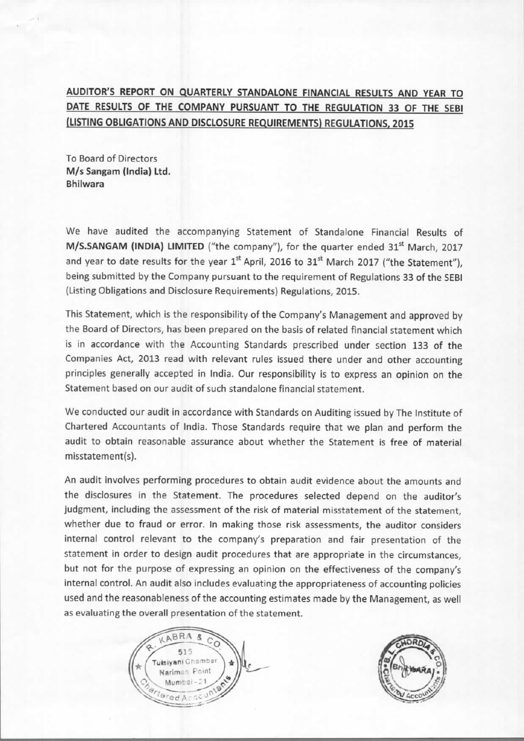# AUDITOR'S REPORT ON QUARTERLY STANDALONE FINANCIAL RESULTS AND YEAR TO DATE RESULTS OF THE COMPANY PURSUANT TO THE REGULATION 33 OF THE SEBI (LISTING OBLIGATIONS AND DISCLOSURE REQUIREMENTS) REGULATIONS, 2015

To Board of Directors M/s Sangam (India) Ltd. **Bhilwara** 

We have audited the accompanying Statement of Standalone Financial Results of M/S.SANGAM (INDIA) LIMITED ("the company"), for the quarter ended 31<sup>st</sup> March, 2017 and year to date results for the year 1<sup>st</sup> April, 2016 to 31<sup>st</sup> March 2017 ("the Statement"). being submitted by the Company pursuant to the requirement of Regulations 33 of the SEBI (Listing Obligations and Disclosure Requirements) Regulations, 2015.

This Statement, which is the responsibility of the Company's Management and approved by the Board of Directors, has been prepared on the basis of related financial statement which is in accordance with the Accounting Standards prescribed under section 133 of the Companies Act, 2013 read with relevant rules issued there under and other accounting principles generally accepted in India. Our responsibility is to express an opinion on the Statement based on our audit of such standalone financial statement.

We conducted our audit in accordance with Standards on Auditing issued by The Institute of Chartered Accountants of India. Those Standards require that we plan and perform the audit to obtain reasonable assurance about whether the Statement is free of material misstatement(s).

An audit involves performing procedures to obtain audit evidence about the amounts and the disclosures in the Statement. The procedures selected depend on the auditor's judgment, including the assessment of the risk of material misstatement of the statement, whether due to fraud or error. In making those risk assessments, the auditor considers internal control relevant to the company's preparation and fair presentation of the statement in order to design audit procedures that are appropriate in the circumstances. but not for the purpose of expressing an opinion on the effectiveness of the company's internal control. An audit also includes evaluating the appropriateness of accounting policies used and the reasonableness of the accounting estimates made by the Management, as well as evaluating the overall presentation of the statement.



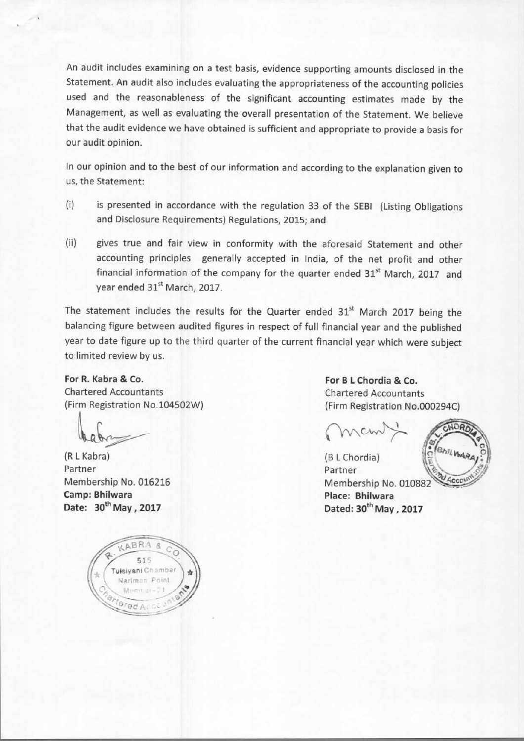An audit includes examining on a test basis, evidence supporting amounts disclosed in the Statement. An audit also includes evaluating the appropriateness of the accounting policies used and the reasonableness of the significant accounting estimates made by the Management, as well as evaluating the overall presentation of the Statement. We believe that the audit evidence we have obtained is sufficient and appropriate to provide a basis for our audit opinion.

In our opinion and to the best of our information and according to the explanation given to us, the Statement:

- $(i)$ is presented in accordance with the regulation 33 of the SEBI (Listing Obligations and Disclosure Requirements) Regulations, 2015; and
- $(ii)$ gives true and fair view in conformity with the aforesaid Statement and other accounting principles generally accepted in India, of the net profit and other financial information of the company for the quarter ended 31<sup>st</sup> March, 2017 and year ended 31st March, 2017.

The statement includes the results for the Quarter ended 31<sup>st</sup> March 2017 being the balancing figure between audited figures in respect of full financial year and the published year to date figure up to the third quarter of the current financial year which were subject to limited review by us.

## For R. Kabra & Co. **Chartered Accountants** (Firm Registration No.104502W)

(R L Kabra) Partner Membership No. 016216 Camp: Bhilwara Date: 30<sup>th</sup> May , 2017



For B L Chordia & Co. **Chartered Accountants** (Firm Registration No.000294C)

(B L Chordia) Partner Membership No. 010882 Place: Bhilwara Dated: 30<sup>th</sup> May, 2017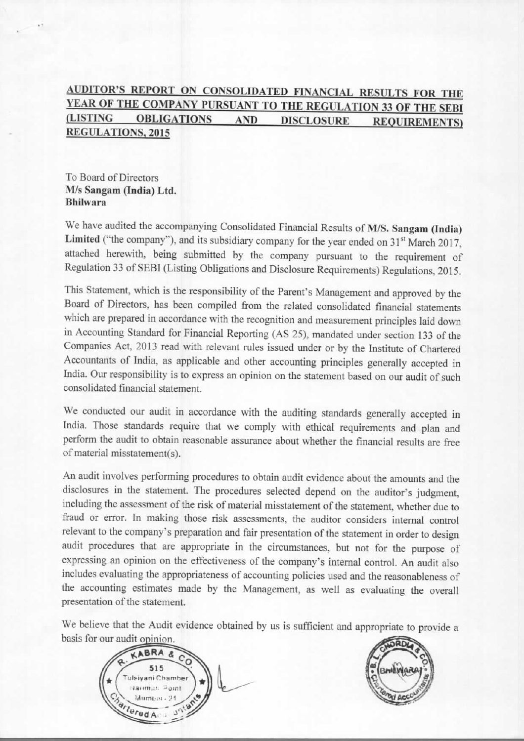#### AUDITOR'S REPORT ON CONSOLIDATED FINANCIAL RESULTS FOR THE YEAR OF THE COMPANY PURSUANT TO THE REGULATION 33 OF THE SEBI (LISTING **OBLIGATIONS AND DISCLOSURE REQUIREMENTS) REGULATIONS, 2015**

To Board of Directors M/s Sangam (India) Ltd. **Bhilwara** 

We have audited the accompanying Consolidated Financial Results of M/S. Sangam (India) Limited ("the company"), and its subsidiary company for the year ended on 31<sup>st</sup> March 2017, attached herewith, being submitted by the company pursuant to the requirement of Regulation 33 of SEBI (Listing Obligations and Disclosure Requirements) Regulations, 2015.

This Statement, which is the responsibility of the Parent's Management and approved by the Board of Directors, has been compiled from the related consolidated financial statements which are prepared in accordance with the recognition and measurement principles laid down in Accounting Standard for Financial Reporting (AS 25), mandated under section 133 of the Companies Act, 2013 read with relevant rules issued under or by the Institute of Chartered Accountants of India, as applicable and other accounting principles generally accepted in India. Our responsibility is to express an opinion on the statement based on our audit of such consolidated financial statement.

We conducted our audit in accordance with the auditing standards generally accepted in India. Those standards require that we comply with ethical requirements and plan and perform the audit to obtain reasonable assurance about whether the financial results are free of material misstatement(s).

An audit involves performing procedures to obtain audit evidence about the amounts and the disclosures in the statement. The procedures selected depend on the auditor's judgment, including the assessment of the risk of material misstatement of the statement, whether due to fraud or error. In making those risk assessments, the auditor considers internal control relevant to the company's preparation and fair presentation of the statement in order to design audit procedures that are appropriate in the circumstances, but not for the purpose of expressing an opinion on the effectiveness of the company's internal control. An audit also includes evaluating the appropriateness of accounting policies used and the reasonableness of the accounting estimates made by the Management, as well as evaluating the overall presentation of the statement.

We believe that the Audit evidence obtained by us is sufficient and appropriate to provide a basis for our audit opinion.